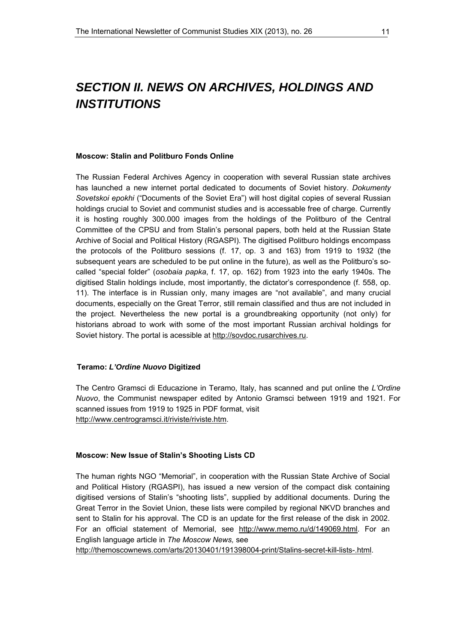# *SECTION II. NEWS ON ARCHIVES, HOLDINGS AND INSTITUTIONS*

### **Moscow: Stalin and Politburo Fonds Online**

The Russian Federal Archives Agency in cooperation with several Russian state archives has launched a new internet portal dedicated to documents of Soviet history. *Dokumenty Sovetskoi epokhi* ("Documents of the Soviet Era") will host digital copies of several Russian holdings crucial to Soviet and communist studies and is accessable free of charge. Currently it is hosting roughly 300.000 images from the holdings of the Politburo of the Central Committee of the CPSU and from Stalin's personal papers, both held at the Russian State Archive of Social and Political History (RGASPI). The digitised Politburo holdings encompass the protocols of the Politburo sessions (f. 17, op. 3 and 163) from 1919 to 1932 (the subsequent years are scheduled to be put online in the future), as well as the Politburo's socalled "special folder" (*osobaia papka*, f. 17, op. 162) from 1923 into the early 1940s. The digitised Stalin holdings include, most importantly, the dictator's correspondence (f. 558, op. 11). The interface is in Russian only, many images are "not available", and many crucial documents, especially on the Great Terror, still remain classified and thus are not included in the project. Nevertheless the new portal is a groundbreaking opportunity (not only) for historians abroad to work with some of the most important Russian archival holdings for Soviet history. The portal is acessible at [http://sovdoc.rusarchives.ru.](http://sovdoc.rusarchives.ru/)

### **Teramo:** *L'Ordine Nuovo* **Digitized**

The Centro Gramsci di Educazione in Teramo, Italy, has scanned and put online the *L'Ordine Nuovo*, the Communist newspaper edited by Antonio Gramsci between 1919 and 1921. For scanned issues from 1919 to 1925 in PDF format, visit [http://www.centrogramsci.it/riviste/riviste.htm.](http://www.centrogramsci.it/riviste/riviste.htm)

### **Moscow: New Issue of Stalin's Shooting Lists CD**

The human rights NGO "Memorial", in cooperation with the Russian State Archive of Social and Political History (RGASPI), has issued a new version of the compact disk containing digitised versions of Stalin's "shooting lists", supplied by additional documents. During the Great Terror in the Soviet Union, these lists were compiled by regional NKVD branches and sent to Stalin for his approval. The CD is an update for the first release of the disk in 2002. For an official statement of Memorial, see [http://www.memo.ru/d/149069.html.](http://www.memo.ru/d/149069.html) For an English language article in *The Moscow News,* see

<http://themoscownews.com/arts/20130401/191398004-print/Stalins-secret-kill-lists-.html>.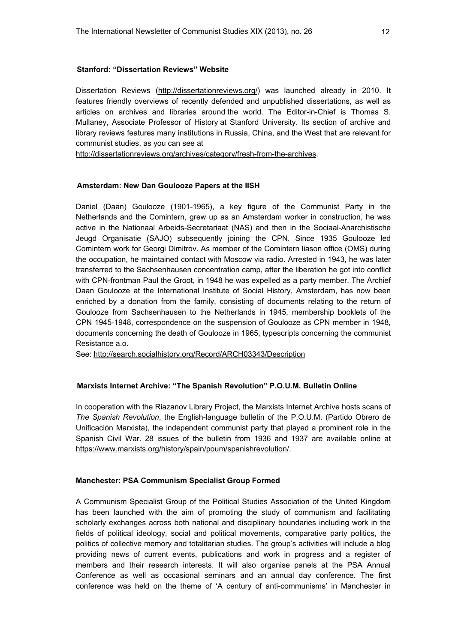Dissertation Reviews [\(http://dissertationreviews.org/](http://dissertationreviews.org/)) was launched already in 2010. It features friendly overviews of recently defended and unpublished dissertations, as well as articles on archives and libraries around the world. The Editor-in-Chief is Thomas S. Mullaney, Associate Professor of History at Stanford University. Its section of archive and library reviews features many institutions in Russia, China, and the West that are relevant for communist studies, as you can see at

[http://dissertationreviews.org/archives/category/fresh-from-the-archives.](http://dissertationreviews.org/archives/category/fresh-from-the-archives)

### **Amsterdam: New Dan Goulooze Papers at the IISH**

Daniel (Daan) Goulooze (1901-1965), a key figure of the Communist Party in the Netherlands and the Comintern, grew up as an Amsterdam worker in construction, he was active in the Nationaal Arbeids-Secretariaat (NAS) and then in the Sociaal-Anarchistische Jeugd Organisatie (SAJO) subsequently joining the CPN. Since 1935 Goulooze led Comintern work for Georgi Dimitrov. As member of the Comintern liason office (OMS) during the occupation, he maintained contact with Moscow via radio. Arrested in 1943, he was later transferred to the Sachsenhausen concentration camp, after the liberation he got into conflict with CPN-frontman Paul the Groot, in 1948 he was expelled as a party member. The Archief Daan Goulooze at the International Institute of Social History, Amsterdam, has now been enriched by a donation from the family, consisting of documents relating to the return of Goulooze from Sachsenhausen to the Netherlands in 1945, membership booklets of the CPN 1945-1948, correspondence on the suspension of Goulooze as CPN member in 1948, documents concerning the death of Goulooze in 1965, typescripts concerning the communist Resistance a.o.

See: <http://search.socialhistory.org/Record/ARCH03343/Description>

### **Marxists Internet Archive: "The Spanish Revolution" P.O.U.M. Bulletin Online**

In cooperation with the Riazanov Library Project, the Marxists Internet Archive hosts scans of *The Spanish Revolution*, the English-language bulletin of the P.O.U.M. (Partido Obrero de Unificación Marxista), the independent communist party that played a prominent role in the Spanish Civil War. 28 issues of the bulletin from 1936 and 1937 are available online at <https://www.marxists.org/history/spain/poum/spanishrevolution/>.

### **Manchester: PSA Communism Specialist Group Formed**

A Communism Specialist Group of the Political Studies Association of the United Kingdom has been launched with the aim of promoting the study of communism and facilitating scholarly exchanges across both national and disciplinary boundaries including work in the fields of political ideology, social and political movements, comparative party politics, the politics of collective memory and totalitarian studies. The group's activities will include a blog providing news of current events, publications and work in progress and a register of members and their research interests. It will also organise panels at the PSA Annual Conference as well as occasional seminars and an annual day conference. The first conference was held on the theme of 'A century of anti-communisms' in Manchester in